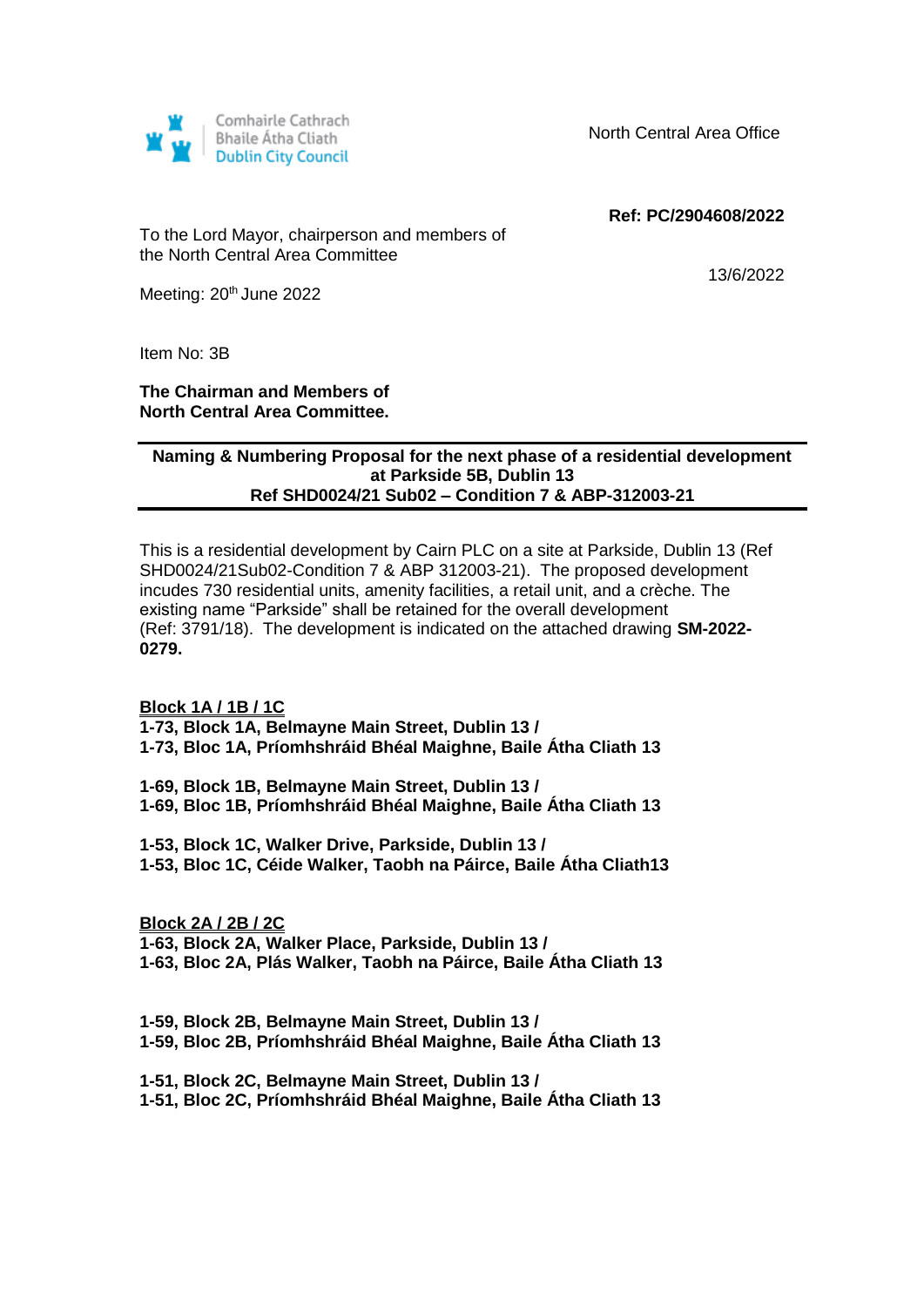

North Central Area Office

 **Ref: PC/2904608/2022**

To the Lord Mayor, chairperson and members of the North Central Area Committee

13/6/2022

Meeting: 20<sup>th</sup> June 2022

Item No: 3B

## **The Chairman and Members of North Central Area Committee.**

## **Naming & Numbering Proposal for the next phase of a residential development at Parkside 5B, Dublin 13 Ref SHD0024/21 Sub02 – Condition 7 & ABP-312003-21**

This is a residential development by Cairn PLC on a site at Parkside, Dublin 13 (Ref SHD0024/21Sub02-Condition 7 & ABP 312003-21). The proposed development incudes 730 residential units, amenity facilities, a retail unit, and a crèche. The existing name "Parkside" shall be retained for the overall development (Ref: 3791/18). The development is indicated on the attached drawing **SM-2022- 0279.**

**Block 1A / 1B / 1C**

**1-73, Block 1A, Belmayne Main Street, Dublin 13 /** 

**1-73, Bloc 1A, Príomhshráid Bhéal Maighne, Baile Átha Cliath 13**

**1-69, Block 1B, Belmayne Main Street, Dublin 13 / 1-69, Bloc 1B, Príomhshráid Bhéal Maighne, Baile Átha Cliath 13**

**1-53, Block 1C, Walker Drive, Parkside, Dublin 13 / 1-53, Bloc 1C, Céide Walker, Taobh na Páirce, Baile Átha Cliath13**

**Block 2A / 2B / 2C 1-63, Block 2A, Walker Place, Parkside, Dublin 13 / 1-63, Bloc 2A, Plás Walker, Taobh na Páirce, Baile Átha Cliath 13**

**1-59, Block 2B, Belmayne Main Street, Dublin 13 / 1-59, Bloc 2B, Príomhshráid Bhéal Maighne, Baile Átha Cliath 13**

**1-51, Block 2C, Belmayne Main Street, Dublin 13 / 1-51, Bloc 2C, Príomhshráid Bhéal Maighne, Baile Átha Cliath 13**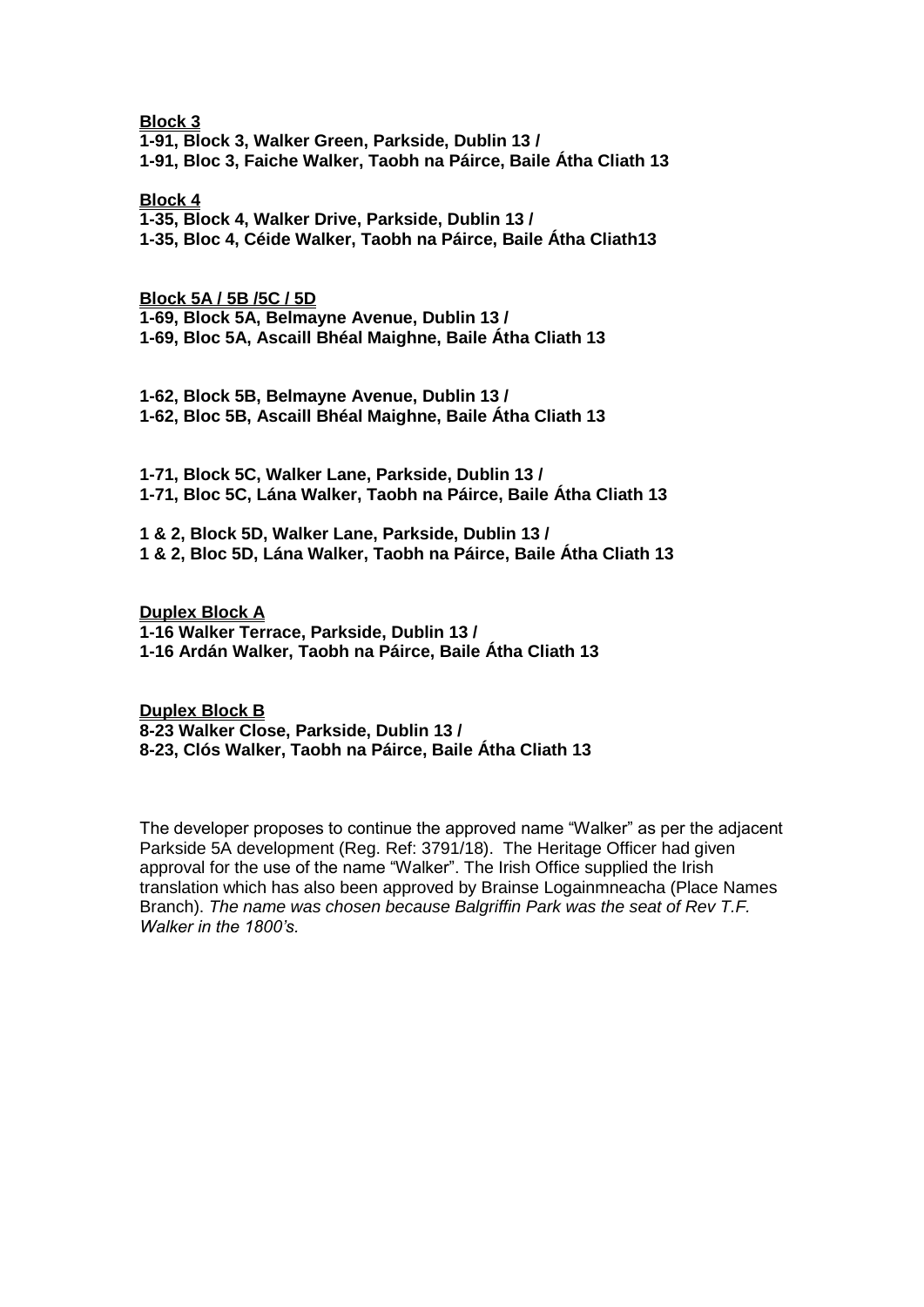**Block 3**

**1-91, Block 3, Walker Green, Parkside, Dublin 13 / 1-91, Bloc 3, Faiche Walker, Taobh na Páirce, Baile Átha Cliath 13**

**Block 4**

**1-35, Block 4, Walker Drive, Parkside, Dublin 13 / 1-35, Bloc 4, Céide Walker, Taobh na Páirce, Baile Átha Cliath13**

**Block 5A / 5B /5C / 5D**

**1-69, Block 5A, Belmayne Avenue, Dublin 13 / 1-69, Bloc 5A, Ascaill Bhéal Maighne, Baile Átha Cliath 13**

**1-62, Block 5B, Belmayne Avenue, Dublin 13 / 1-62, Bloc 5B, Ascaill Bhéal Maighne, Baile Átha Cliath 13**

**1-71, Block 5C, Walker Lane, Parkside, Dublin 13 / 1-71, Bloc 5C, Lána Walker, Taobh na Páirce, Baile Átha Cliath 13**

**1 & 2, Block 5D, Walker Lane, Parkside, Dublin 13 / 1 & 2, Bloc 5D, Lána Walker, Taobh na Páirce, Baile Átha Cliath 13**

**Duplex Block A 1-16 Walker Terrace, Parkside, Dublin 13 / 1-16 Ardán Walker, Taobh na Páirce, Baile Átha Cliath 13**

**Duplex Block B 8-23 Walker Close, Parkside, Dublin 13 / 8-23, Clós Walker, Taobh na Páirce, Baile Átha Cliath 13** 

The developer proposes to continue the approved name "Walker" as per the adjacent Parkside 5A development (Reg. Ref: 3791/18). The Heritage Officer had given approval for the use of the name "Walker". The Irish Office supplied the Irish translation which has also been approved by Brainse Logainmneacha (Place Names Branch). *The name was chosen because Balgriffin Park was the seat of Rev T.F. Walker in the 1800's.*